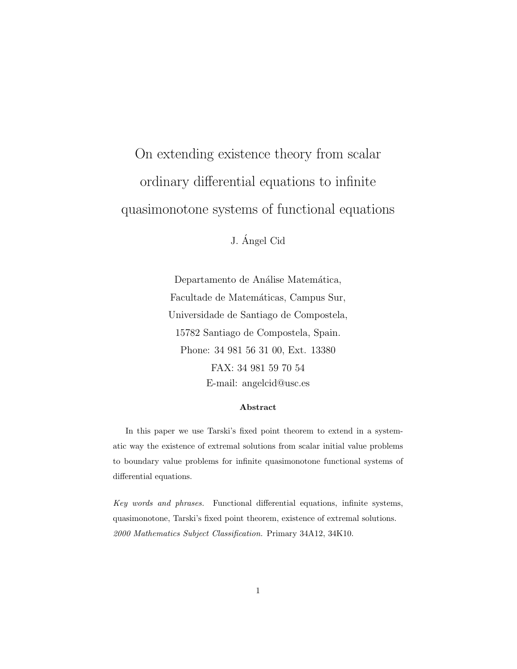# On extending existence theory from scalar ordinary differential equations to infinite quasimonotone systems of functional equations

J. Angel Cid ´

Departamento de Análise Matemática, Facultade de Matemáticas, Campus Sur, Universidade de Santiago de Compostela, 15782 Santiago de Compostela, Spain. Phone: 34 981 56 31 00, Ext. 13380 FAX: 34 981 59 70 54 E-mail: angelcid@usc.es

#### Abstract

In this paper we use Tarski's fixed point theorem to extend in a systematic way the existence of extremal solutions from scalar initial value problems to boundary value problems for infinite quasimonotone functional systems of differential equations.

Key words and phrases. Functional differential equations, infinite systems, quasimonotone, Tarski's fixed point theorem, existence of extremal solutions. 2000 Mathematics Subject Classification. Primary 34A12, 34K10.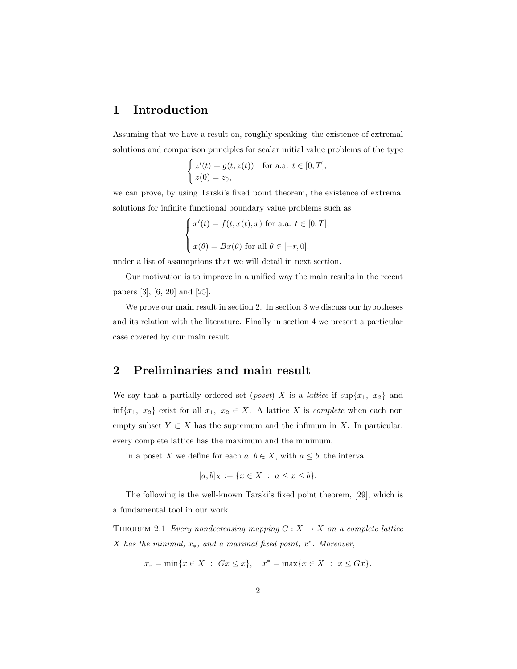## 1 Introduction

Assuming that we have a result on, roughly speaking, the existence of extremal solutions and comparison principles for scalar initial value problems of the type  $\overline{a}$ 

$$
\begin{cases} z'(t) = g(t, z(t)) & \text{for a.a. } t \in [0, T], \\ z(0) = z_0, \end{cases}
$$

we can prove, by using Tarski's fixed point theorem, the existence of extremal solutions for infinite functional boundary value problems such as

$$
\begin{cases}\nx'(t) = f(t, x(t), x) \text{ for a.a. } t \in [0, T], \\
x(\theta) = Bx(\theta) \text{ for all } \theta \in [-r, 0],\n\end{cases}
$$

under a list of assumptions that we will detail in next section.

Our motivation is to improve in a unified way the main results in the recent papers [3], [6, 20] and [25].

We prove our main result in section 2. In section 3 we discuss our hypotheses and its relation with the literature. Finally in section 4 we present a particular case covered by our main result.

## 2 Preliminaries and main result

We say that a partially ordered set (*poset*) X is a *lattice* if  $\sup\{x_1, x_2\}$  and inf{x<sub>1</sub>, x<sub>2</sub>} exist for all  $x_1, x_2 \in X$ . A lattice X is *complete* when each non empty subset  $Y \subset X$  has the supremum and the infimum in X. In particular, every complete lattice has the maximum and the minimum.

In a poset X we define for each  $a, b \in X$ , with  $a \leq b$ , the interval

$$
[a, b]_X := \{ x \in X \ : \ a \le x \le b \}.
$$

The following is the well-known Tarski's fixed point theorem, [29], which is a fundamental tool in our work.

THEOREM 2.1 Every nondecreasing mapping  $G: X \to X$  on a complete lattice X has the minimal,  $x_*$ , and a maximal fixed point,  $x^*$ . Moreover,

$$
x_* = \min\{x \in X : Gx \le x\}, \quad x^* = \max\{x \in X : x \le Gx\}.
$$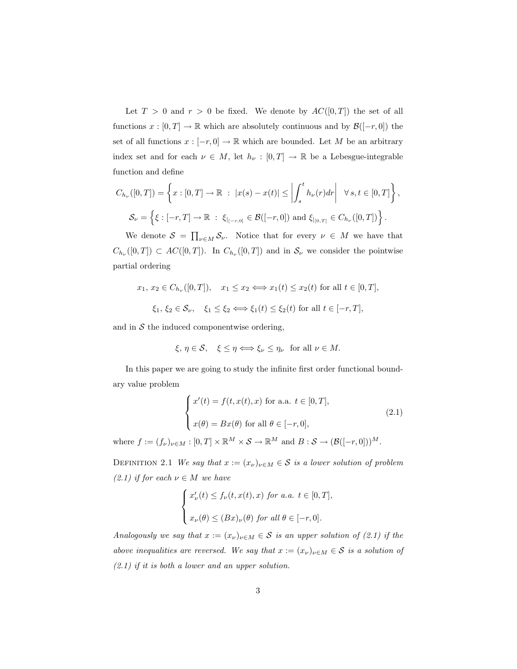Let  $T > 0$  and  $r > 0$  be fixed. We denote by  $AC([0, T])$  the set of all functions  $x : [0, T] \to \mathbb{R}$  which are absolutely continuous and by  $\mathcal{B}([-r, 0])$  the set of all functions  $x : [-r, 0] \to \mathbb{R}$  which are bounded. Let M be an arbitrary index set and for each  $\nu \in M$ , let  $h_{\nu} : [0, T] \to \mathbb{R}$  be a Lebesgue-integrable function and define

$$
C_{h_{\nu}}([0,T]) = \left\{ x : [0,T] \to \mathbb{R} : |x(s) - x(t)| \le \left| \int_s^t h_{\nu}(r) dr \right| \quad \forall s, t \in [0,T] \right\},\
$$
  

$$
\mathcal{S}_{\nu} = \left\{ \xi : [-r,T] \to \mathbb{R} : \xi_{|_{[-r,0]}} \in \mathcal{B}([-r,0]) \text{ and } \xi_{|_{[0,T]}} \in C_{h_{\nu}}([0,T]) \right\}.
$$

We denote  $S = \prod_{\nu \in M} S_{\nu}$ . Notice that for every  $\nu \in M$  we have that  $C_{h_{\nu}}([0,T]) \subset AC([0,T])$ . In  $C_{h_{\nu}}([0,T])$  and in  $S_{\nu}$  we consider the pointwise partial ordering

$$
x_1, x_2 \in C_{h_{\nu}}([0, T]), \quad x_1 \le x_2 \Longleftrightarrow x_1(t) \le x_2(t) \text{ for all } t \in [0, T],
$$
  

$$
\xi_1, \xi_2 \in \mathcal{S}_{\nu}, \quad \xi_1 \le \xi_2 \Longleftrightarrow \xi_1(t) \le \xi_2(t) \text{ for all } t \in [-r, T],
$$

and in  $S$  the induced componentwise ordering,

$$
\xi, \eta \in \mathcal{S}, \quad \xi \le \eta \Longleftrightarrow \xi_{\nu} \le \eta_{\nu} \quad \text{for all } \nu \in M.
$$

In this paper we are going to study the infinite first order functional boundary value problem

$$
\begin{cases}\nx'(t) = f(t, x(t), x) \text{ for a.a. } t \in [0, T], \\
x(\theta) = Bx(\theta) \text{ for all } \theta \in [-r, 0],\n\end{cases}
$$
\n(2.1)

where  $f := (f_{\nu})_{\nu \in M} : [0, T] \times \mathbb{R}^M \times S \to \mathbb{R}^M$  and  $B : S \to (B([-r, 0]))^M$ .

DEFINITION 2.1 We say that  $x := (x_{\nu})_{\nu \in M} \in S$  is a lower solution of problem (2.1) if for each  $\nu \in M$  we have

$$
\begin{cases}\nx'_{\nu}(t) \le f_{\nu}(t, x(t), x) \text{ for a.a. } t \in [0, T], \\
x_{\nu}(\theta) \le (Bx)_{\nu}(\theta) \text{ for all } \theta \in [-r, 0].\n\end{cases}
$$

Analogously we say that  $x := (x_{\nu})_{\nu \in M} \in S$  is an upper solution of (2.1) if the above inequalities are reversed. We say that  $x := (x_{\nu})_{\nu \in M} \in S$  is a solution of  $(2.1)$  if it is both a lower and an upper solution.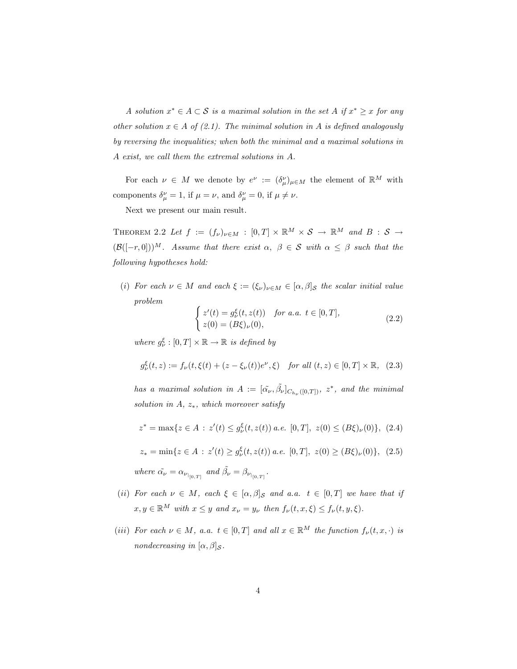A solution  $x^* \in A \subset S$  is a maximal solution in the set A if  $x^* \geq x$  for any other solution  $x \in A$  of (2.1). The minimal solution in A is defined analogously by reversing the inequalities; when both the minimal and a maximal solutions in A exist, we call them the extremal solutions in A.

For each  $\nu \in M$  we denote by  $e^{\nu} := (\delta^{\nu}_{\mu})_{\mu \in M}$  the element of  $\mathbb{R}^M$  with components  $\delta_{\mu}^{\nu} = 1$ , if  $\mu = \nu$ , and  $\delta_{\mu}^{\nu} = 0$ , if  $\mu \neq \nu$ .

Next we present our main result.

THEOREM 2.2 Let  $f := (f_{\nu})_{\nu \in M} : [0, T] \times \mathbb{R}^M \times S \rightarrow \mathbb{R}^M$  and  $B : S \rightarrow$  $(\mathcal{B}([-r, 0]))^M$ . Assume that there exist  $\alpha, \beta \in \mathcal{S}$  with  $\alpha \leq \beta$  such that the following hypotheses hold:

(i) For each  $\nu \in M$  and each  $\xi := (\xi_{\nu})_{\nu \in M} \in [\alpha, \beta]_{S}$  the scalar initial value problem  $\overline{a}$ 

$$
\begin{cases} z'(t) = g_{\nu}^{\xi}(t, z(t)) & \text{for a.a. } t \in [0, T], \\ z(0) = (B\xi)_{\nu}(0), \end{cases}
$$
 (2.2)

where  $g_{\nu}^{\xi}:[0,T]\times\mathbb{R}\to\mathbb{R}$  is defined by

$$
g_{\nu}^{\xi}(t,z) := f_{\nu}(t,\xi(t) + (z - \xi_{\nu}(t))e^{\nu},\xi) \quad \text{for all } (t,z) \in [0,T] \times \mathbb{R}, \tag{2.3}
$$

has a maximal solution in  $A := [\tilde{\alpha}_{\nu}, \tilde{\beta}_{\nu}]_{C_{h_{\nu}}([0,T])}$ ,  $z^*$ , and the minimal solution in  $A$ ,  $z$ <sup>\*</sup>, which moreover satisfy

$$
z^* = \max\{z \in A \,:\, z'(t) \le g_{\nu}^{\xi}(t, z(t)) \,a.e. \, [0, T], \, z(0) \le (B\xi)_{\nu}(0)\}, \, (2.4)
$$

$$
z_* = \min\{z \in A \,:\, z'(t) \ge g_\nu^\xi(t, z(t)) \ a.e. \ [0, T], \ z(0) \ge (B\xi)_\nu(0) \}, \ (2.5)
$$

where  $\tilde{\alpha_{\nu}} = \alpha_{\nu_{|_{[0,T]}}}$  and  $\tilde{\beta_{\nu}} = \beta_{\nu_{|_{[0,T]}}}$ .

- (ii) For each  $\nu \in M$ , each  $\xi \in [\alpha, \beta]_{\mathcal{S}}$  and a.a.  $t \in [0, T]$  we have that if  $x, y \in \mathbb{R}^M$  with  $x \leq y$  and  $x_{\nu} = y_{\nu}$  then  $f_{\nu}(t, x, \xi) \leq f_{\nu}(t, y, \xi)$ .
- (iii) For each  $\nu \in M$ , a.a.  $t \in [0, T]$  and all  $x \in \mathbb{R}^M$  the function  $f_{\nu}(t, x, \cdot)$  is nondecreasing in  $[\alpha, \beta]_{\mathcal{S}}$ .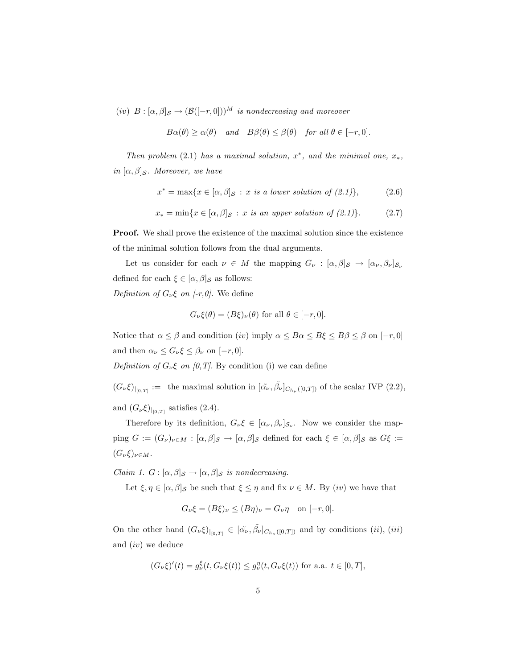(iv)  $B : [\alpha, \beta]_{\mathcal{S}} \to (\mathcal{B}([-r, 0]))^M$  is nondecreasing and moreover

$$
B\alpha(\theta) \ge \alpha(\theta) \quad \text{and} \quad B\beta(\theta) \le \beta(\theta) \quad \text{for all } \theta \in [-r, 0].
$$

Then problem (2.1) has a maximal solution,  $x^*$ , and the minimal one,  $x_*$ , in  $[\alpha, \beta]_{\mathcal{S}}$ . Moreover, we have

$$
x^* = \max\{x \in [\alpha, \beta]_{\mathcal{S}} : x \text{ is a lower solution of } (2.1)\},\tag{2.6}
$$

$$
x_* = \min\{x \in [\alpha, \beta]_{\mathcal{S}} : x \text{ is an upper solution of (2.1)}\}. \tag{2.7}
$$

Proof. We shall prove the existence of the maximal solution since the existence of the minimal solution follows from the dual arguments.

Let us consider for each  $\nu \in M$  the mapping  $G_{\nu} : [\alpha, \beta]_{\mathcal{S}} \to [\alpha_{\nu}, \beta_{\nu}]_{\mathcal{S}_{\nu}}$ defined for each  $\xi \in [\alpha, \beta]_{\mathcal{S}}$  as follows: Definition of  $G_{\nu}\xi$  on [-r,0]. We define

$$
G_{\nu}\xi(\theta) = (B\xi)_{\nu}(\theta)
$$
 for all  $\theta \in [-r, 0]$ .

Notice that  $\alpha \leq \beta$  and condition  $(iv)$  imply  $\alpha \leq B\alpha \leq B\xi \leq B\beta \leq \beta$  on  $[-r, 0]$ and then  $\alpha_{\nu} \leq G_{\nu} \xi \leq \beta_{\nu}$  on  $[-r, 0].$ 

Definition of  $G_{\nu}\xi$  on [0,T]. By condition (i) we can define

 $(G_{\nu}\xi)_{|_{[0,T]}} := \text{ the maximal solution in } [\tilde{\alpha}_{\nu}, \tilde{\beta}_{\nu}]_{C_{h_{\nu}}([0,T])} \text{ of the scalar IVP (2.2)},$ 

and  $(G_\nu \xi)_{|_{[0,T]}}$  satisfies (2.4).

Therefore by its definition,  $G_{\nu}\xi \in [\alpha_{\nu}, \beta_{\nu}]_{S_{\nu}}$ . Now we consider the mapping  $G := (G_{\nu})_{\nu \in M} : [\alpha, \beta]_{\mathcal{S}} \to [\alpha, \beta]_{\mathcal{S}}$  defined for each  $\xi \in [\alpha, \beta]_{\mathcal{S}}$  as  $G\xi :=$  $(G_{\nu}\xi)_{\nu\in M}$ .

Claim 1.  $G : [\alpha, \beta]_{\mathcal{S}} \to [\alpha, \beta]_{\mathcal{S}}$  is nondecreasing.

Let  $\xi, \eta \in [\alpha, \beta]$ <sub>S</sub> be such that  $\xi \leq \eta$  and fix  $\nu \in M$ . By (iv) we have that

$$
G_{\nu}\xi = (B\xi)_{\nu} \le (B\eta)_{\nu} = G_{\nu}\eta \quad \text{on } [-r, 0].
$$

On the other hand  $(G_{\nu}\xi)_{|_{[0,T]}} \in [\tilde{\alpha}_{\nu}, \tilde{\beta}_{\nu}]_{C_{h_{\nu}}([0,T])}$  and by conditions  $(ii)$ ,  $(iii)$ and (iv) we deduce

$$
(G_{\nu}\xi)'(t) = g_{\nu}^{\xi}(t, G_{\nu}\xi(t)) \le g_{\nu}^{\eta}(t, G_{\nu}\xi(t))
$$
 for a.a.  $t \in [0, T]$ ,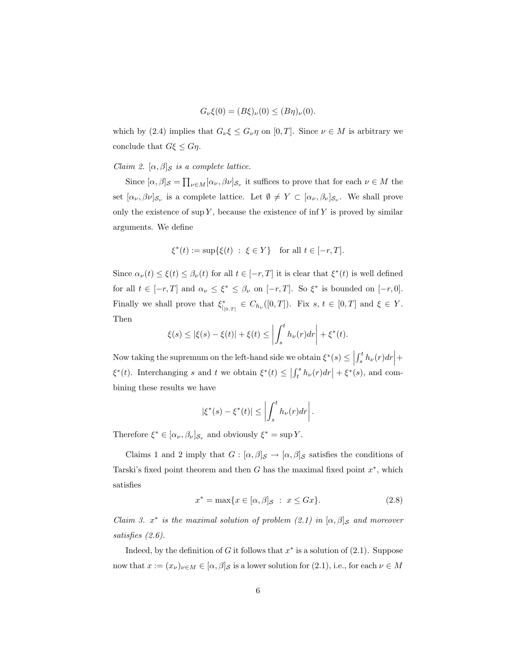$$
G_{\nu}\xi(0) = (B\xi)_{\nu}(0) \le (B\eta)_{\nu}(0).
$$

which by (2.4) implies that  $G_{\nu}\xi \leq G_{\nu}\eta$  on [0, T]. Since  $\nu \in M$  is arbitrary we conclude that  $G\xi \leq G\eta$ .

#### Claim 2.  $[\alpha, \beta]_{\mathcal{S}}$  is a complete lattice.

Since  $[\alpha, \beta]_{\mathcal{S}} = \prod_{\nu \in M} [\alpha_{\nu}, \beta_{\nu}]_{\mathcal{S}_{\nu}}$  it suffices to prove that for each  $\nu \in M$  the set  $[\alpha_{\nu}, \beta_{\nu}]_{S_{\nu}}$  is a complete lattice. Let  $\emptyset \neq Y \subset [\alpha_{\nu}, \beta_{\nu}]_{S_{\nu}}$ . We shall prove only the existence of sup  $Y$ , because the existence of inf  $Y$  is proved by similar arguments. We define

$$
\xi^*(t) := \sup{\{\xi(t) : \xi \in Y\}}
$$
 for all  $t \in [-r, T]$ .

Since  $\alpha_{\nu}(t) \leq \xi(t) \leq \beta_{\nu}(t)$  for all  $t \in [-r, T]$  it is clear that  $\xi^{*}(t)$  is well defined for all  $t \in [-r, T]$  and  $\alpha_{\nu} \leq \xi^* \leq \beta_{\nu}$  on  $[-r, T]$ . So  $\xi^*$  is bounded on  $[-r, 0]$ . Finally we shall prove that  $\xi_{\vert_{[0,T]}}^* \in C_{h_{\nu}}([0,T])$ . Fix  $s, t \in [0,T]$  and  $\xi \in Y$ . Then  $\overline{a}$  $\overline{a}$ 

$$
\xi(s) \le |\xi(s) - \xi(t)| + \xi(t) \le \left| \int_s^t h_\nu(r) dr \right| + \xi^*(t).
$$

Now taking the supremum on the left-hand side we obtain  $\xi^*(s) \leq \left| \int_s^t$  $\overline{a}$  $\int_s^t h_\nu(r) dr$  +  $\overline{a}$  $\xi^*(t)$ . Interchanging s and t we obtain  $\xi^*(t) \leq$  $\int_0^s$  $\int_t^s h_\nu(r) dr$  $+ \xi^*(s)$ , and combining these results we have

$$
|\xi^*(s) - \xi^*(t)| \le \left| \int_s^t h_\nu(r) dr \right|.
$$

Therefore  $\xi^* \in [\alpha_{\nu}, \beta_{\nu}]_{\mathcal{S}_{\nu}}$  and obviously  $\xi^* = \sup Y$ .

Claims 1 and 2 imply that  $G : [\alpha, \beta]_{\mathcal{S}} \to [\alpha, \beta]_{\mathcal{S}}$  satisfies the conditions of Tarski's fixed point theorem and then  $G$  has the maximal fixed point  $x^*$ , which satisfies

$$
x^* = \max\{x \in [\alpha, \beta]_{\mathcal{S}} : x \le Gx\}.
$$
\n
$$
(2.8)
$$

Claim 3.  $x^*$  is the maximal solution of problem (2.1) in  $[\alpha, \beta]_{\mathcal{S}}$  and moreover satisfies (2.6).

Indeed, by the definition of G it follows that  $x^*$  is a solution of  $(2.1)$ . Suppose now that  $x := (x_{\nu})_{\nu \in M} \in [\alpha, \beta]_{\mathcal{S}}$  is a lower solution for  $(2.1)$ , i.e., for each  $\nu \in M$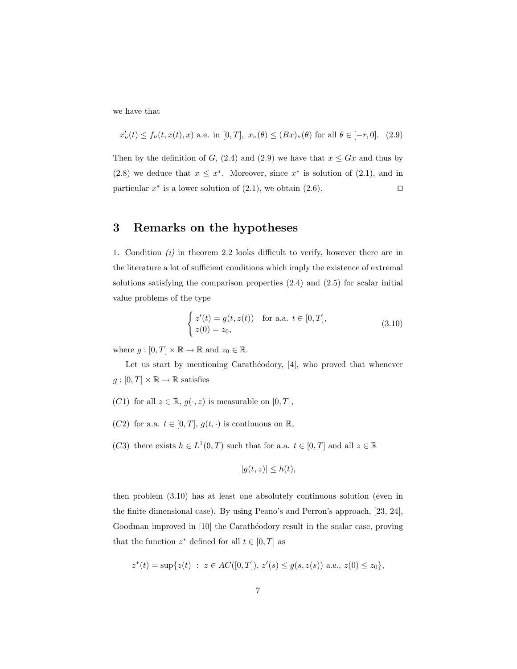we have that

$$
x_{\nu}'(t)\leq f_{\nu}(t,x(t),x) \text{ a.e. in } [0,T], \ x_{\nu}(\theta)\leq (Bx)_{\nu}(\theta) \text{ for all } \theta\in[-r,0]. \tag{2.9}
$$

Then by the definition of G, (2.4) and (2.9) we have that  $x \leq Gx$  and thus by (2.8) we deduce that  $x \leq x^*$ . Moreover, since  $x^*$  is solution of (2.1), and in particular  $x^*$  is a lower solution of (2.1), we obtain (2.6).

## 3 Remarks on the hypotheses

1. Condition (i) in theorem 2.2 looks difficult to verify, however there are in the literature a lot of sufficient conditions which imply the existence of extremal solutions satisfying the comparison properties (2.4) and (2.5) for scalar initial value problems of the type

$$
\begin{cases}\n z'(t) = g(t, z(t)) & \text{for a.a. } t \in [0, T], \\
 z(0) = z_0,\n\end{cases}
$$
\n(3.10)

where  $g : [0, T] \times \mathbb{R} \to \mathbb{R}$  and  $z_0 \in \mathbb{R}$ .

Let us start by mentioning Carathéodory,  $[4]$ , who proved that whenever  $g:[0,T]\times\mathbb{R}\to\mathbb{R}$  satisfies

- (C1) for all  $z \in \mathbb{R}$ ,  $g(\cdot, z)$  is measurable on  $[0, T]$ ,
- (C2) for a.a.  $t \in [0, T], g(t, \cdot)$  is continuous on  $\mathbb{R}$ ,
- (C3) there exists  $h \in L^1(0,T)$  such that for a.a.  $t \in [0,T]$  and all  $z \in \mathbb{R}$

$$
|g(t,z)| \leq h(t),
$$

then problem (3.10) has at least one absolutely continuous solution (even in the finite dimensional case). By using Peano's and Perron's approach, [23, 24], Goodman improved in [10] the Carathéodory result in the scalar case, proving that the function  $z^*$  defined for all  $t \in [0, T]$  as

$$
z^*(t) = \sup\{z(t) : z \in AC([0,T]), z'(s) \le g(s, z(s)) \text{ a.e., } z(0) \le z_0\},\
$$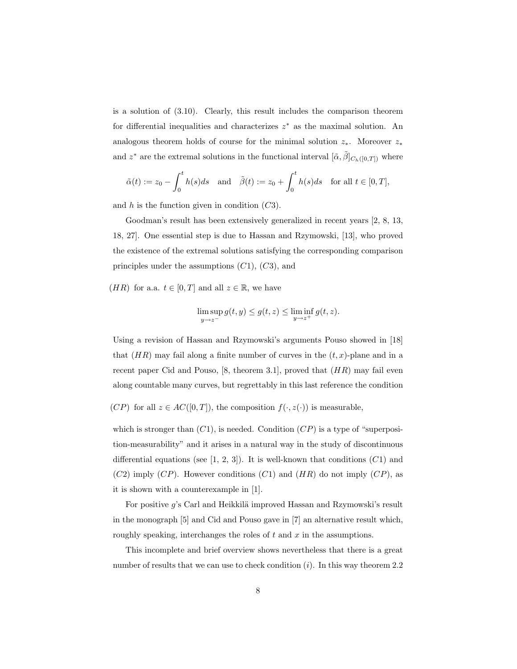is a solution of (3.10). Clearly, this result includes the comparison theorem for differential inequalities and characterizes  $z^*$  as the maximal solution. An analogous theorem holds of course for the minimal solution  $z_*$ . Moreover  $z_*$ and  $z^*$  are the extremal solutions in the functional interval  $[\tilde{\alpha}, \tilde{\beta}]_{C_h([0,T])}$  where

$$
\tilde{\alpha}(t):=z_0-\int_0^t h(s)ds \quad \text{and} \quad \tilde{\beta}(t):=z_0+\int_0^t h(s)ds \quad \text{for all } t\in [0,T],
$$

and  $h$  is the function given in condition  $(C3)$ .

Goodman's result has been extensively generalized in recent years [2, 8, 13, 18, 27]. One essential step is due to Hassan and Rzymowski, [13], who proved the existence of the extremal solutions satisfying the corresponding comparison principles under the assumptions  $(C1)$ ,  $(C3)$ , and

(*HR*) for a.a.  $t \in [0, T]$  and all  $z \in \mathbb{R}$ , we have

$$
\limsup_{y\to z^-}g(t,y)\leq g(t,z)\leq \liminf_{y\to z^+}g(t,z).
$$

Using a revision of Hassan and Rzymowski's arguments Pouso showed in [18] that  $(HR)$  may fail along a finite number of curves in the  $(t, x)$ -plane and in a recent paper Cid and Pouso,  $[8,$  theorem 3.1, proved that  $(HR)$  may fail even along countable many curves, but regrettably in this last reference the condition

 $(CP)$  for all  $z \in AC([0,T])$ , the composition  $f(\cdot, z(\cdot))$  is measurable,

which is stronger than  $(C1)$ , is needed. Condition  $(CP)$  is a type of "superposition-measurability" and it arises in a natural way in the study of discontinuous differential equations (see  $[1, 2, 3]$ ). It is well-known that conditions  $(C1)$  and  $(C2)$  imply  $(CP)$ . However conditions  $(C1)$  and  $(HR)$  do not imply  $(CP)$ , as it is shown with a counterexample in [1].

For positive  $g$ 's Carl and Heikkilä improved Hassan and Rzymowski's result in the monograph [5] and Cid and Pouso gave in [7] an alternative result which, roughly speaking, interchanges the roles of  $t$  and  $x$  in the assumptions.

This incomplete and brief overview shows nevertheless that there is a great number of results that we can use to check condition  $(i)$ . In this way theorem 2.2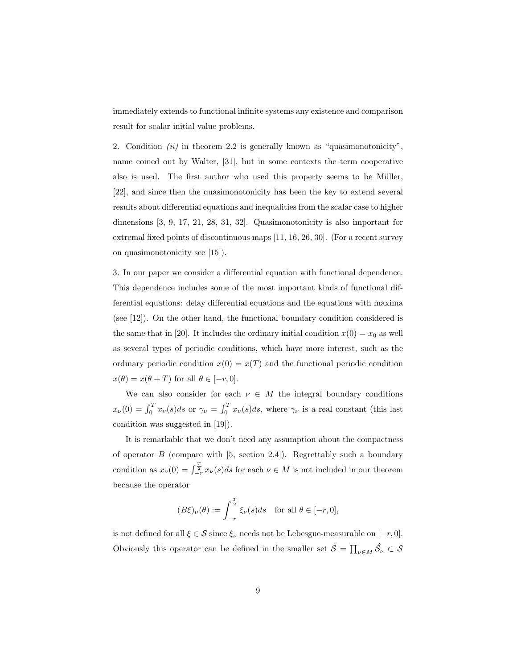immediately extends to functional infinite systems any existence and comparison result for scalar initial value problems.

2. Condition (ii) in theorem 2.2 is generally known as "quasimonotonicity", name coined out by Walter, [31], but in some contexts the term cooperative also is used. The first author who used this property seems to be Müller, [22], and since then the quasimonotonicity has been the key to extend several results about differential equations and inequalities from the scalar case to higher dimensions [3, 9, 17, 21, 28, 31, 32]. Quasimonotonicity is also important for extremal fixed points of discontinuous maps [11, 16, 26, 30]. (For a recent survey on quasimonotonicity see [15]).

3. In our paper we consider a differential equation with functional dependence. This dependence includes some of the most important kinds of functional differential equations: delay differential equations and the equations with maxima (see [12]). On the other hand, the functional boundary condition considered is the same that in [20]. It includes the ordinary initial condition  $x(0) = x_0$  as well as several types of periodic conditions, which have more interest, such as the ordinary periodic condition  $x(0) = x(T)$  and the functional periodic condition  $x(\theta) = x(\theta + T)$  for all  $\theta \in [-r, 0].$ 

We can also consider for each  $\nu \in M$  the integral boundary conditions  $x_{\nu}(0) = \int_0^T x_{\nu}(s)ds$  or  $\gamma_{\nu} = \int_0^T$  $\int_0^1 x_\nu(s)ds$ , where  $\gamma_\nu$  is a real constant (this last condition was suggested in [19]).

It is remarkable that we don't need any assumption about the compactness of operator  $B$  (compare with [5, section 2.4]). Regrettably such a boundary condition as  $x_{\nu}(0) = \int_{-r}^{\frac{T}{2}} x_{\nu}(s)ds$  for each  $\nu \in M$  is not included in our theorem because the operator

$$
(B\xi)_{\nu}(\theta) := \int_{-r}^{\frac{T}{2}} \xi_{\nu}(s)ds \quad \text{for all } \theta \in [-r, 0],
$$

is not defined for all  $\xi \in \mathcal{S}$  since  $\xi_{\nu}$  needs not be Lebesgue-measurable on  $[-r, 0]$ . Obviously this operator can be defined in the smaller set  $\hat{S} = \prod_{\nu \in M} \hat{S}_{\nu} \subset S$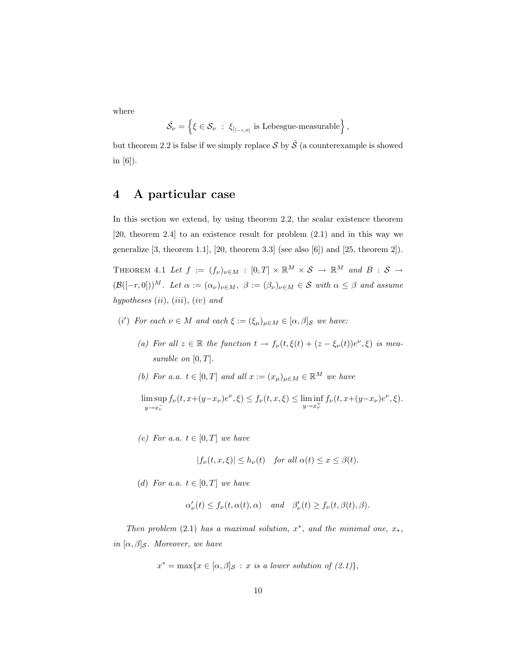where

$$
\hat{\mathcal{S}}_{\nu} = \left\{ \xi \in \mathcal{S}_{\nu} \ : \ \xi_{|_{[-r,0]}} \text{ is Lebesgue-measurable} \right\},\
$$

but theorem 2.2 is false if we simply replace S by  $\hat{\mathcal{S}}$  (a counterexample is showed in [6]).

# 4 A particular case

In this section we extend, by using theorem 2.2, the scalar existence theorem [20, theorem 2.4] to an existence result for problem (2.1) and in this way we generalize  $[3,$  theorem 1.1,  $[20,$  theorem 3.3 (see also  $[6]$ ) and  $[25,$  theorem 2]).

THEOREM 4.1 Let  $f := (f_{\nu})_{\nu \in M} : [0, T] \times \mathbb{R}^M \times S \rightarrow \mathbb{R}^M$  and  $B : S \rightarrow$  $(\mathcal{B}([-r, 0]))^M$ . Let  $\alpha := (\alpha_{\nu})_{\nu \in M}$ ,  $\beta := (\beta_{\nu})_{\nu \in M} \in \mathcal{S}$  with  $\alpha \leq \beta$  and assume hypotheses  $(ii)$ ,  $(iii)$ ,  $(iv)$  and

- (i') For each  $\nu \in M$  and each  $\xi := (\xi_{\mu})_{\mu \in M} \in [\alpha, \beta]_{S}$  we have:
	- (a) For all  $z \in \mathbb{R}$  the function  $t \to f_{\nu}(t,\xi(t)) + (z \xi_{\nu}(t))e^{\nu}, \xi$  is measurable on  $[0, T]$ .
	- (b) For a.a.  $t \in [0, T]$  and all  $x := (x_{\mu})_{\mu \in M} \in \mathbb{R}^{M}$  we have

 $\limsup_{y \to x_0^{-}} f_{\nu}(t, x + (y - x_{\nu})e^{\nu}, \xi) \leq f_{\nu}(t, x, \xi) \leq \liminf_{y \to x_{\nu}^{+}} f_{\nu}(t, x + (y - x_{\nu})e^{\nu}, \xi).$  $y \rightarrow x_{\nu}^-$ 

(c) For a.a.  $t \in [0, T]$  we have

$$
|f_{\nu}(t, x, \xi)| \le h_{\nu}(t) \quad \text{for all } \alpha(t) \le x \le \beta(t).
$$

(d) For a.a.  $t \in [0, T]$  we have

$$
\alpha'_{\nu}(t) \le f_{\nu}(t,\alpha(t),\alpha)
$$
 and  $\beta'_{\nu}(t) \ge f_{\nu}(t,\beta(t),\beta).$ 

Then problem (2.1) has a maximal solution,  $x^*$ , and the minimal one,  $x_*$ , in  $[\alpha, \beta]_{\mathcal{S}}$ . Moreover, we have

$$
x^* = \max\{x \in [\alpha, \beta]_{\mathcal{S}} : x \text{ is a lower solution of (2.1)}\},
$$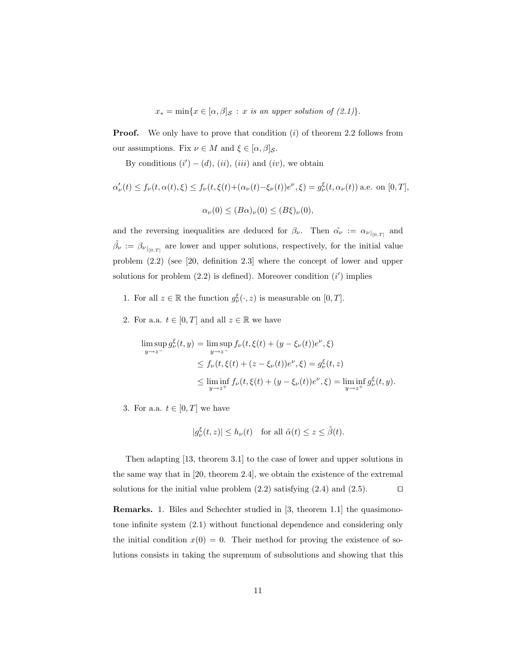$x_* = \min\{x \in [\alpha, \beta]_{\mathcal{S}} : x \text{ is an upper solution of } (2.1)\}.$ 

**Proof.** We only have to prove that condition  $(i)$  of theorem 2.2 follows from our assumptions. Fix  $\nu \in M$  and  $\xi \in [\alpha, \beta]_{\mathcal{S}}$ .

By conditions  $(i') - (d)$ ,  $(ii)$ ,  $(iii)$  and  $(iv)$ , we obtain

$$
\alpha'_{\nu}(t) \le f_{\nu}(t,\alpha(t),\xi) \le f_{\nu}(t,\xi(t)+(\alpha_{\nu}(t)-\xi_{\nu}(t))e^{\nu},\xi) = g_{\nu}^{\xi}(t,\alpha_{\nu}(t)) \text{ a.e. on } [0,T],
$$
  

$$
\alpha_{\nu}(0) \le (B\alpha)_{\nu}(0) \le (B\xi)_{\nu}(0),
$$

and the reversing inequalities are deduced for  $\beta_{\nu}$ . Then  $\tilde{\alpha_{\nu}} := \alpha_{\nu}|_{[0,T]}$  and  $\tilde{\beta}_{\nu} := \beta_{\nu|_{[0,T]}}$  are lower and upper solutions, respectively, for the initial value problem (2.2) (see [20, definition 2.3] where the concept of lower and upper solutions for problem  $(2.2)$  is defined). Moreover condition  $(i')$  implies

- 1. For all  $z \in \mathbb{R}$  the function  $g_{\nu}^{\xi}(\cdot, z)$  is measurable on  $[0, T]$ .
- 2. For a.a.  $t \in [0, T]$  and all  $z \in \mathbb{R}$  we have

$$
\limsup_{y \to z^{-}} g_{\nu}^{\xi}(t, y) = \limsup_{y \to z^{-}} f_{\nu}(t, \xi(t) + (y - \xi_{\nu}(t))e^{\nu}, \xi)
$$
\n
$$
\leq f_{\nu}(t, \xi(t) + (z - \xi_{\nu}(t))e^{\nu}, \xi) = g_{\nu}^{\xi}(t, z)
$$
\n
$$
\leq \liminf_{y \to z^{+}} f_{\nu}(t, \xi(t) + (y - \xi_{\nu}(t))e^{\nu}, \xi) = \liminf_{y \to z^{+}} g_{\nu}^{\xi}(t, y).
$$

3. For a.a.  $t \in [0, T]$  we have

$$
|g_{\nu}^{\xi}(t,z)| \le h_{\nu}(t) \quad \text{for all } \tilde{\alpha}(t) \le z \le \tilde{\beta}(t).
$$

Then adapting [13, theorem 3.1] to the case of lower and upper solutions in the same way that in [20, theorem 2.4], we obtain the existence of the extremal solutions for the initial value problem  $(2.2)$  satisfying  $(2.4)$  and  $(2.5)$ .

Remarks. 1. Biles and Schechter studied in [3, theorem 1.1] the quasimonotone infinite system (2.1) without functional dependence and considering only the initial condition  $x(0) = 0$ . Their method for proving the existence of solutions consists in taking the supremum of subsolutions and showing that this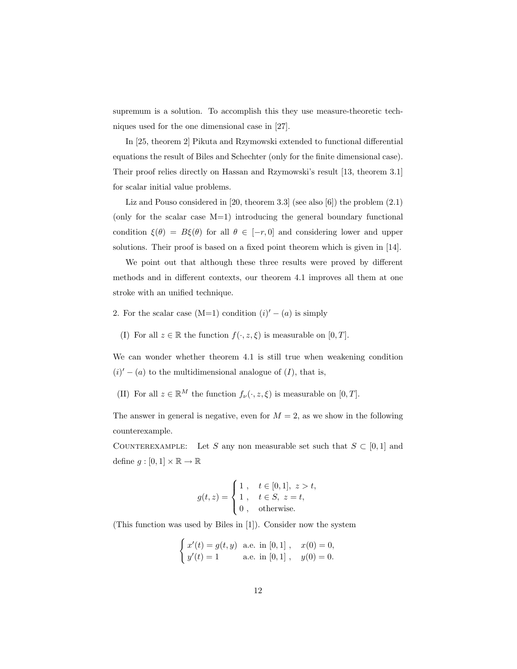supremum is a solution. To accomplish this they use measure-theoretic techniques used for the one dimensional case in [27].

In [25, theorem 2] Pikuta and Rzymowski extended to functional differential equations the result of Biles and Schechter (only for the finite dimensional case). Their proof relies directly on Hassan and Rzymowski's result [13, theorem 3.1] for scalar initial value problems.

Liz and Pouso considered in [20, theorem 3.3] (see also [6]) the problem (2.1) (only for the scalar case  $M=1$ ) introducing the general boundary functional condition  $\xi(\theta) = B\xi(\theta)$  for all  $\theta \in [-r, 0]$  and considering lower and upper solutions. Their proof is based on a fixed point theorem which is given in [14].

We point out that although these three results were proved by different methods and in different contexts, our theorem 4.1 improves all them at one stroke with an unified technique.

- 2. For the scalar case  $(M=1)$  condition  $(i)' (a)$  is simply
	- (I) For all  $z \in \mathbb{R}$  the function  $f(\cdot, z, \xi)$  is measurable on  $[0, T]$ .

We can wonder whether theorem 4.1 is still true when weakening condition  $(i)' - (a)$  to the multidimensional analogue of  $(I)$ , that is,

(II) For all  $z \in \mathbb{R}^M$  the function  $f_{\nu}(\cdot, z, \xi)$  is measurable on  $[0, T]$ .

The answer in general is negative, even for  $M = 2$ , as we show in the following counterexample.

COUNTEREXAMPLE: Let S any non measurable set such that  $S \subset [0,1]$  and define  $g : [0,1] \times \mathbb{R} \to \mathbb{R}$ 

$$
g(t, z) = \begin{cases} 1, & t \in [0, 1], z > t, \\ 1, & t \in S, z = t, \\ 0, & \text{otherwise.} \end{cases}
$$

(This function was used by Biles in [1]). Consider now the system

$$
\begin{cases}\nx'(t) = g(t, y) & \text{a.e. in } [0, 1], & x(0) = 0, \\
y'(t) = 1 & \text{a.e. in } [0, 1], & y(0) = 0.\n\end{cases}
$$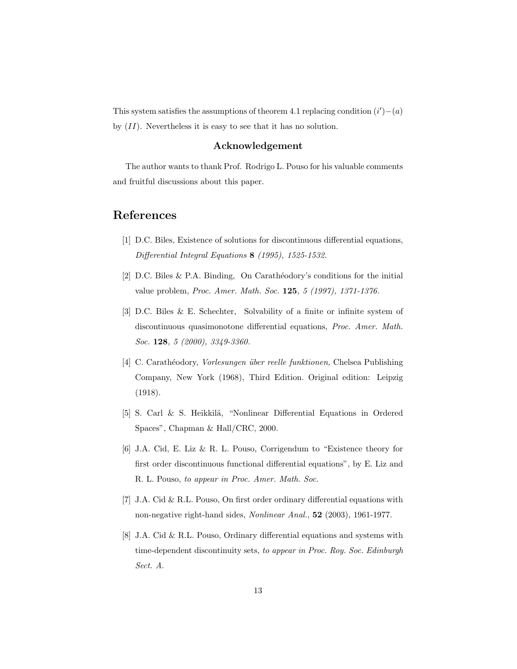This system satisfies the assumptions of theorem 4.1 replacing condition  $(i') - (a)$ by  $(II)$ . Nevertheless it is easy to see that it has no solution.

#### Acknowledgement

The author wants to thank Prof. Rodrigo L. Pouso for his valuable comments and fruitful discussions about this paper.

## References

- [1] D.C. Biles, Existence of solutions for discontinuous differential equations, Differential Integral Equations 8 (1995), 1525-1532.
- [2] D.C. Biles & P.A. Binding, On Carathéodory's conditions for the initial value problem, Proc. Amer. Math. Soc. 125, 5 (1997), 1371-1376.
- [3] D.C. Biles & E. Schechter, Solvability of a finite or infinite system of discontinuous quasimonotone differential equations, Proc. Amer. Math. Soc. 128, 5 (2000), 3349-3360.
- [4] C. Carathéodory, *Vorlesungen über reelle funktionen*, Chelsea Publishing Company, New York (1968), Third Edition. Original edition: Leipzig (1918).
- [5] S. Carl & S. Heikkilä, "Nonlinear Differential Equations in Ordered Spaces", Chapman & Hall/CRC, 2000.
- [6] J.A. Cid, E. Liz & R. L. Pouso, Corrigendum to "Existence theory for first order discontinuous functional differential equations", by E. Liz and R. L. Pouso, to appear in Proc. Amer. Math. Soc.
- [7] J.A. Cid & R.L. Pouso, On first order ordinary differential equations with non-negative right-hand sides, Nonlinear Anal., 52 (2003), 1961-1977.
- [8] J.A. Cid & R.L. Pouso, Ordinary differential equations and systems with time-dependent discontinuity sets, to appear in Proc. Roy. Soc. Edinburgh Sect. A.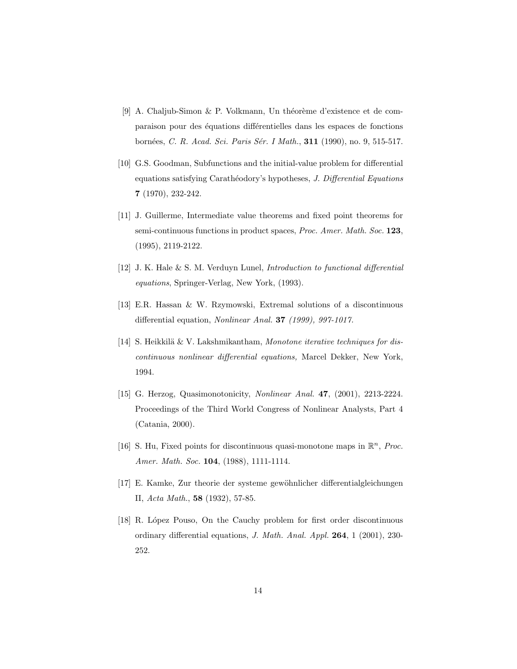- [9] A. Chaljub-Simon & P. Volkmann, Un théorème d'existence et de comparaison pour des équations différentielles dans les espaces de fonctions bornées, C. R. Acad. Sci. Paris Sér. I Math., 311 (1990), no. 9, 515-517.
- [10] G.S. Goodman, Subfunctions and the initial-value problem for differential equations satisfying Carathéodory's hypotheses, J. Differential Equations 7 (1970), 232-242.
- [11] J. Guillerme, Intermediate value theorems and fixed point theorems for semi-continuous functions in product spaces, Proc. Amer. Math. Soc. 123, (1995), 2119-2122.
- [12] J. K. Hale & S. M. Verduyn Lunel, Introduction to functional differential equations, Springer-Verlag, New York, (1993).
- [13] E.R. Hassan & W. Rzymowski, Extremal solutions of a discontinuous differential equation, Nonlinear Anal. 37 (1999), 997-1017.
- [14] S. Heikkilä  $&\nabla$ . Lakshmikantham, Monotone iterative techniques for discontinuous nonlinear differential equations, Marcel Dekker, New York, 1994.
- [15] G. Herzog, Quasimonotonicity, Nonlinear Anal. **47**, (2001), 2213-2224. Proceedings of the Third World Congress of Nonlinear Analysts, Part 4 (Catania, 2000).
- [16] S. Hu, Fixed points for discontinuous quasi-monotone maps in  $\mathbb{R}^n$ , *Proc.* Amer. Math. Soc. 104, (1988), 1111-1114.
- [17] E. Kamke, Zur theorie der systeme gewöhnlicher differentialgleichungen II, Acta Math., 58 (1932), 57-85.
- [18] R. López Pouso, On the Cauchy problem for first order discontinuous ordinary differential equations, J. Math. Anal. Appl. 264, 1 (2001), 230- 252.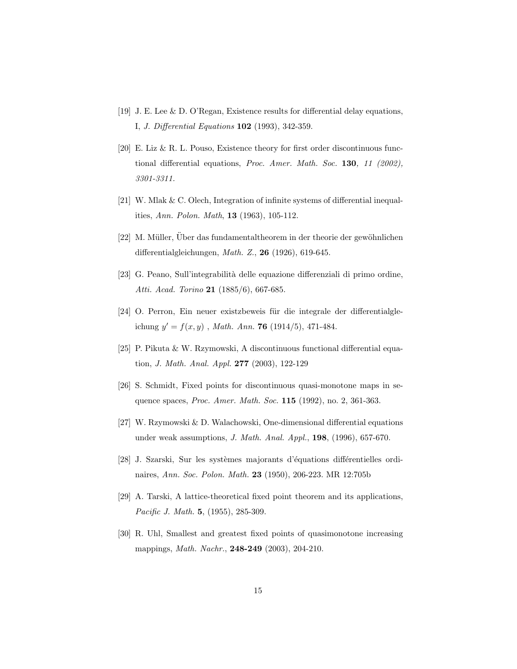- [19] J. E. Lee & D. O'Regan, Existence results for differential delay equations, I, J. Differential Equations 102 (1993), 342-359.
- [20] E. Liz & R. L. Pouso, Existence theory for first order discontinuous functional differential equations, Proc. Amer. Math. Soc. 130, 11 (2002), 3301-3311.
- [21] W. Mlak & C. Olech, Integration of infinite systems of differential inequalities, Ann. Polon. Math, 13 (1963), 105-112.
- [22] M. Müller, Uber das fundamentaltheorem in der theorie der gewöhnlichen differentialgleichungen, Math. Z., 26 (1926), 619-645.
- [23] G. Peano, Sull'integrabilità delle equazione differenziali di primo ordine, Atti. Acad. Torino 21 (1885/6), 667-685.
- [24] O. Perron, Ein neuer existzbeweis für die integrale der differentialgleichung  $y' = f(x, y)$ , *Math. Ann.* **76** (1914/5), 471-484.
- [25] P. Pikuta & W. Rzymowski, A discontinuous functional differential equation, J. Math. Anal. Appl. 277 (2003), 122-129
- [26] S. Schmidt, Fixed points for discontinuous quasi-monotone maps in sequence spaces, Proc. Amer. Math. Soc. 115 (1992), no. 2, 361-363.
- [27] W. Rzymowski  $&$  D. Walachowski, One-dimensional differential equations under weak assumptions, J. Math. Anal. Appl., 198, (1996), 657-670.
- [28] J. Szarski, Sur les systèmes majorants d'équations différentielles ordinaires, Ann. Soc. Polon. Math. 23 (1950), 206-223. MR 12:705b
- [29] A. Tarski, A lattice-theoretical fixed point theorem and its applications, Pacific J. Math. 5, (1955), 285-309.
- [30] R. Uhl, Smallest and greatest fixed points of quasimonotone increasing mappings, Math. Nachr., 248-249 (2003), 204-210.